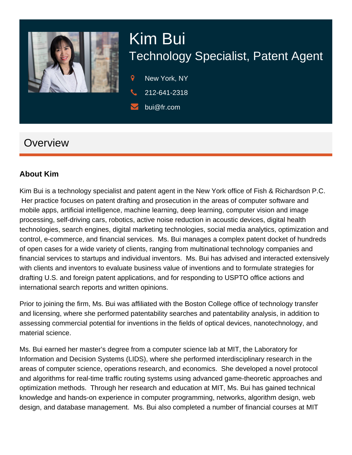

# Kim Bui Technology Specialist, Patent Agent

9 New York, NY

212-641-2318

bui@fr.com

# **Overview**

#### **About Kim**

Kim Bui is a technology specialist and patent agent in the New York office of Fish & Richardson P.C. Her practice focuses on patent drafting and prosecution in the areas of computer software and mobile apps, artificial intelligence, machine learning, deep learning, computer vision and image processing, self-driving cars, robotics, active noise reduction in acoustic devices, digital health technologies, search engines, digital marketing technologies, social media analytics, optimization and control, e-commerce, and financial services. Ms. Bui manages a complex patent docket of hundreds of open cases for a wide variety of clients, ranging from multinational technology companies and financial services to startups and individual inventors. Ms. Bui has advised and interacted extensively with clients and inventors to evaluate business value of inventions and to formulate strategies for drafting U.S. and foreign patent applications, and for responding to USPTO office actions and international search reports and written opinions.

Prior to joining the firm, Ms. Bui was affiliated with the Boston College office of technology transfer and licensing, where she performed patentability searches and patentability analysis, in addition to assessing commercial potential for inventions in the fields of optical devices, nanotechnology, and material science.

Ms. Bui earned her master's degree from a computer science lab at MIT, the Laboratory for Information and Decision Systems (LIDS), where she performed interdisciplinary research in the areas of computer science, operations research, and economics. She developed a novel protocol and algorithms for real-time traffic routing systems using advanced game-theoretic approaches and optimization methods. Through her research and education at MIT, Ms. Bui has gained technical knowledge and hands-on experience in computer programming, networks, algorithm design, web design, and database management. Ms. Bui also completed a number of financial courses at MIT